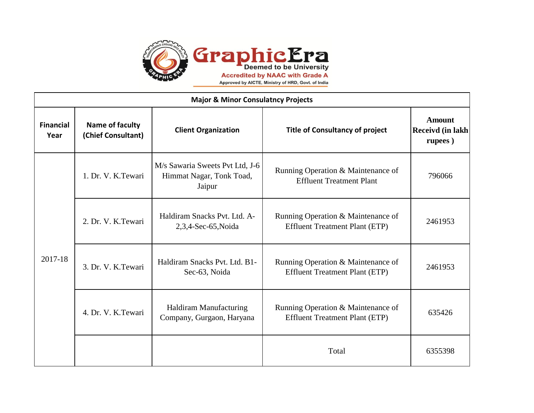

| <b>Major &amp; Minor Consulatncy Projects</b> |                                       |                                                                       |                                                                             |                                              |  |
|-----------------------------------------------|---------------------------------------|-----------------------------------------------------------------------|-----------------------------------------------------------------------------|----------------------------------------------|--|
| <b>Financial</b><br>Year                      | Name of faculty<br>(Chief Consultant) | <b>Client Organization</b>                                            | <b>Title of Consultancy of project</b>                                      | <b>Amount</b><br>Receivd (in lakh<br>rupees) |  |
| 2017-18                                       | 1. Dr. V. K.Tewari                    | M/s Sawaria Sweets Pvt Ltd, J-6<br>Himmat Nagar, Tonk Toad,<br>Jaipur | Running Operation & Maintenance of<br><b>Effluent Treatment Plant</b>       | 796066                                       |  |
|                                               | 2. Dr. V. K. Tewari                   | Haldiram Snacks Pvt. Ltd. A-<br>2,3,4-Sec-65, Noida                   | Running Operation & Maintenance of<br><b>Effluent Treatment Plant (ETP)</b> | 2461953                                      |  |
|                                               | 3. Dr. V. K. Tewari                   | Haldiram Snacks Pvt. Ltd. B1-<br>Sec-63, Noida                        | Running Operation & Maintenance of<br><b>Effluent Treatment Plant (ETP)</b> | 2461953                                      |  |
|                                               | 4. Dr. V. K. Tewari                   | Haldiram Manufacturing<br>Company, Gurgaon, Haryana                   | Running Operation & Maintenance of<br><b>Effluent Treatment Plant (ETP)</b> | 635426                                       |  |
|                                               |                                       |                                                                       | Total                                                                       | 6355398                                      |  |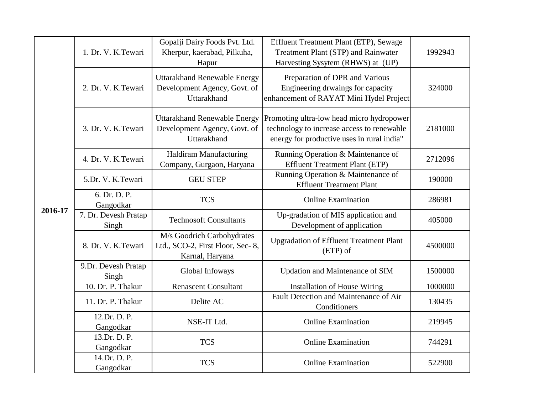| 2016-17 | 1. Dr. V. K.Tewari            | Gopalji Dairy Foods Pvt. Ltd.<br>Kherpur, kaerabad, Pilkuha,<br>Hapur              | Effluent Treatment Plant (ETP), Sewage<br>Treatment Plant (STP) and Rainwater<br>Harvesting Sysytem (RHWS) at (UP)                    | 1992943 |
|---------|-------------------------------|------------------------------------------------------------------------------------|---------------------------------------------------------------------------------------------------------------------------------------|---------|
|         | 2. Dr. V. K.Tewari            | <b>Uttarakhand Renewable Energy</b><br>Development Agency, Govt. of<br>Uttarakhand | Preparation of DPR and Various<br>Engineering drwaings for capacity<br>enhancement of RAYAT Mini Hydel Project                        | 324000  |
|         | 3. Dr. V. K.Tewari            | <b>Uttarakhand Renewable Energy</b><br>Development Agency, Govt. of<br>Uttarakhand | Promoting ultra-low head micro hydropower<br>technology to increase access to renewable<br>energy for productive uses in rural india" | 2181000 |
|         | 4. Dr. V. K.Tewari            | Haldiram Manufacturing<br>Company, Gurgaon, Haryana                                | Running Operation & Maintenance of<br><b>Effluent Treatment Plant (ETP)</b>                                                           | 2712096 |
|         | 5.Dr. V. K.Tewari             | <b>GEU STEP</b>                                                                    | Running Operation & Maintenance of<br><b>Effluent Treatment Plant</b>                                                                 | 190000  |
|         | 6. Dr. D. P.<br>Gangodkar     | <b>TCS</b>                                                                         | <b>Online Examination</b>                                                                                                             | 286981  |
|         | 7. Dr. Devesh Pratap<br>Singh | <b>Technosoft Consultants</b>                                                      | Up-gradation of MIS application and<br>Development of application                                                                     | 405000  |
|         | 8. Dr. V. K.Tewari            | M/s Goodrich Carbohydrates<br>Ltd., SCO-2, First Floor, Sec-8,<br>Karnal, Haryana  | <b>Upgradation of Effluent Treatment Plant</b><br>$(ETP)$ of                                                                          | 4500000 |
|         | 9.Dr. Devesh Pratap<br>Singh  | Global Infoways                                                                    | Updation and Maintenance of SIM                                                                                                       | 1500000 |
|         | 10. Dr. P. Thakur             | <b>Renascent Consultant</b>                                                        | <b>Installation of House Wiring</b>                                                                                                   | 1000000 |
|         | 11. Dr. P. Thakur             | Delite AC                                                                          | Fault Detection and Maintenance of Air<br>Conditioners                                                                                | 130435  |
|         | 12.Dr. D. P.<br>Gangodkar     | NSE-IT Ltd.                                                                        | <b>Online Examination</b>                                                                                                             | 219945  |
|         | 13.Dr. D. P.<br>Gangodkar     | <b>TCS</b>                                                                         | <b>Online Examination</b>                                                                                                             | 744291  |
|         | 14.Dr. D. P.<br>Gangodkar     | <b>TCS</b>                                                                         | <b>Online Examination</b>                                                                                                             | 522900  |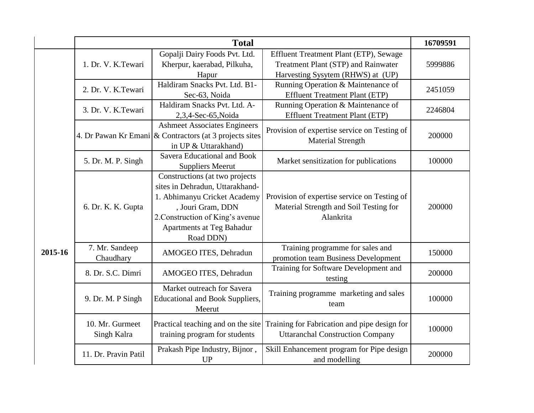|         | <b>Total</b>                   |                                                                                                                                                                                                      |                                                                                                                    | 16709591 |
|---------|--------------------------------|------------------------------------------------------------------------------------------------------------------------------------------------------------------------------------------------------|--------------------------------------------------------------------------------------------------------------------|----------|
|         | 1. Dr. V. K.Tewari             | Gopalji Dairy Foods Pvt. Ltd.<br>Kherpur, kaerabad, Pilkuha,<br>Hapur                                                                                                                                | Effluent Treatment Plant (ETP), Sewage<br>Treatment Plant (STP) and Rainwater<br>Harvesting Sysytem (RHWS) at (UP) | 5999886  |
|         | 2. Dr. V. K.Tewari             | Haldiram Snacks Pvt. Ltd. B1-<br>Sec-63, Noida                                                                                                                                                       | Running Operation & Maintenance of<br><b>Effluent Treatment Plant (ETP)</b>                                        | 2451059  |
|         | 3. Dr. V. K. Tewari            | Haldiram Snacks Pvt. Ltd. A-<br>2,3,4-Sec-65, Noida                                                                                                                                                  | Running Operation & Maintenance of<br><b>Effluent Treatment Plant (ETP)</b>                                        | 2246804  |
|         |                                | <b>Ashmeet Associates Engineers</b><br>4. Dr Pawan Kr Emani $\alpha$ Contractors (at 3 projects sites<br>in UP & Uttarakhand)                                                                        | Provision of expertise service on Testing of<br><b>Material Strength</b>                                           | 200000   |
| 2015-16 | 5. Dr. M. P. Singh             | Savera Educational and Book<br><b>Suppliers Meerut</b>                                                                                                                                               | Market sensitization for publications                                                                              | 100000   |
|         | 6. Dr. K. K. Gupta             | Constructions (at two projects<br>sites in Dehradun, Uttarakhand-<br>1. Abhimanyu Cricket Academy<br>, Jouri Gram, DDN<br>2. Construction of King's avenue<br>Apartments at Teg Bahadur<br>Road DDN) | Provision of expertise service on Testing of<br>Material Strength and Soil Testing for<br>Alankrita                | 200000   |
|         | 7. Mr. Sandeep<br>Chaudhary    | AMOGEO ITES, Dehradun                                                                                                                                                                                | Training programme for sales and<br>promotion team Business Development                                            | 150000   |
|         | 8. Dr. S.C. Dimri              | AMOGEO ITES, Dehradun                                                                                                                                                                                | Training for Software Development and<br>testing                                                                   | 200000   |
|         | 9. Dr. M. P Singh              | Market outreach for Savera<br><b>Educational and Book Suppliers,</b><br>Meerut                                                                                                                       | Training programme marketing and sales<br>team                                                                     | 100000   |
|         | 10. Mr. Gurmeet<br>Singh Kalra | Practical teaching and on the site<br>training program for students                                                                                                                                  | Training for Fabrication and pipe design for<br><b>Uttaranchal Construction Company</b>                            | 100000   |
|         | 11. Dr. Pravin Patil           | Prakash Pipe Industry, Bijnor,<br><b>UP</b>                                                                                                                                                          | Skill Enhancement program for Pipe design<br>and modelling                                                         | 200000   |